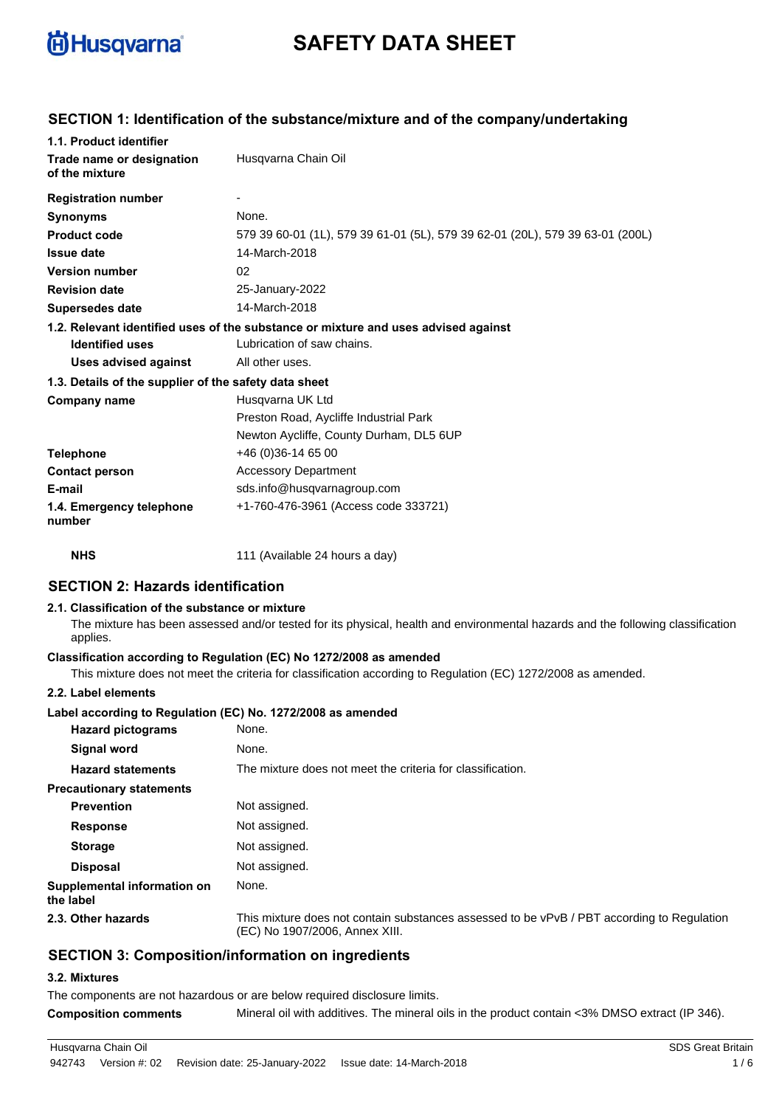

# **SAFETY DATA SHEET**

### **SECTION 1: Identification of the substance/mixture and of the company/undertaking**

| 1.1. Product identifier                               |                                                                                    |
|-------------------------------------------------------|------------------------------------------------------------------------------------|
| Trade name or designation<br>of the mixture           | Husgvarna Chain Oil                                                                |
| <b>Registration number</b>                            |                                                                                    |
| <b>Synonyms</b>                                       | None.                                                                              |
| <b>Product code</b>                                   | 579 39 60-01 (1L), 579 39 61-01 (5L), 579 39 62-01 (20L), 579 39 63-01 (200L)      |
| <b>Issue date</b>                                     | 14-March-2018                                                                      |
| <b>Version number</b>                                 | 02                                                                                 |
| <b>Revision date</b>                                  | 25-January-2022                                                                    |
| <b>Supersedes date</b>                                | 14-March-2018                                                                      |
|                                                       | 1.2. Relevant identified uses of the substance or mixture and uses advised against |
| <b>Identified uses</b>                                | Lubrication of saw chains.                                                         |
| Uses advised against                                  | All other uses.                                                                    |
| 1.3. Details of the supplier of the safety data sheet |                                                                                    |
| <b>Company name</b>                                   | Husgvarna UK Ltd                                                                   |
|                                                       | Preston Road, Aycliffe Industrial Park                                             |
|                                                       | Newton Aycliffe, County Durham, DL5 6UP                                            |
| <b>Telephone</b>                                      | +46 (0) 36-14 65 00                                                                |
| <b>Contact person</b>                                 | <b>Accessory Department</b>                                                        |
| E-mail                                                | sds.info@husqvarnagroup.com                                                        |
| 1.4. Emergency telephone<br>number                    | +1-760-476-3961 (Access code 333721)                                               |
| <b>NHS</b>                                            | 111 (Available 24 hours a day)                                                     |

## **SECTION 2: Hazards identification 2.1. Classification of the substance or mixture**

The mixture has been assessed and/or tested for its physical, health and environmental hazards and the following classification applies.

### **Classification according to Regulation (EC) No 1272/2008 as amended**

This mixture does not meet the criteria for classification according to Regulation (EC) 1272/2008 as amended.

#### **2.2. Label elements**

### **Label according to Regulation (EC) No. 1272/2008 as amended**

| <b>Hazard pictograms</b>                 | None.                                                                                                                        |
|------------------------------------------|------------------------------------------------------------------------------------------------------------------------------|
| Signal word                              | None.                                                                                                                        |
| <b>Hazard statements</b>                 | The mixture does not meet the criteria for classification.                                                                   |
| <b>Precautionary statements</b>          |                                                                                                                              |
| <b>Prevention</b>                        | Not assigned.                                                                                                                |
| <b>Response</b>                          | Not assigned.                                                                                                                |
| <b>Storage</b>                           | Not assigned.                                                                                                                |
| <b>Disposal</b>                          | Not assigned.                                                                                                                |
| Supplemental information on<br>the label | None.                                                                                                                        |
| 2.3. Other hazards                       | This mixture does not contain substances assessed to be vPvB / PBT according to Regulation<br>(EC) No 1907/2006, Annex XIII. |

### **SECTION 3: Composition/information on ingredients**

#### **3.2. Mixtures**

The components are not hazardous or are below required disclosure limits.

**Composition comments** Mineral oil with additives. The mineral oils in the product contain <3% DMSO extract (IP 346).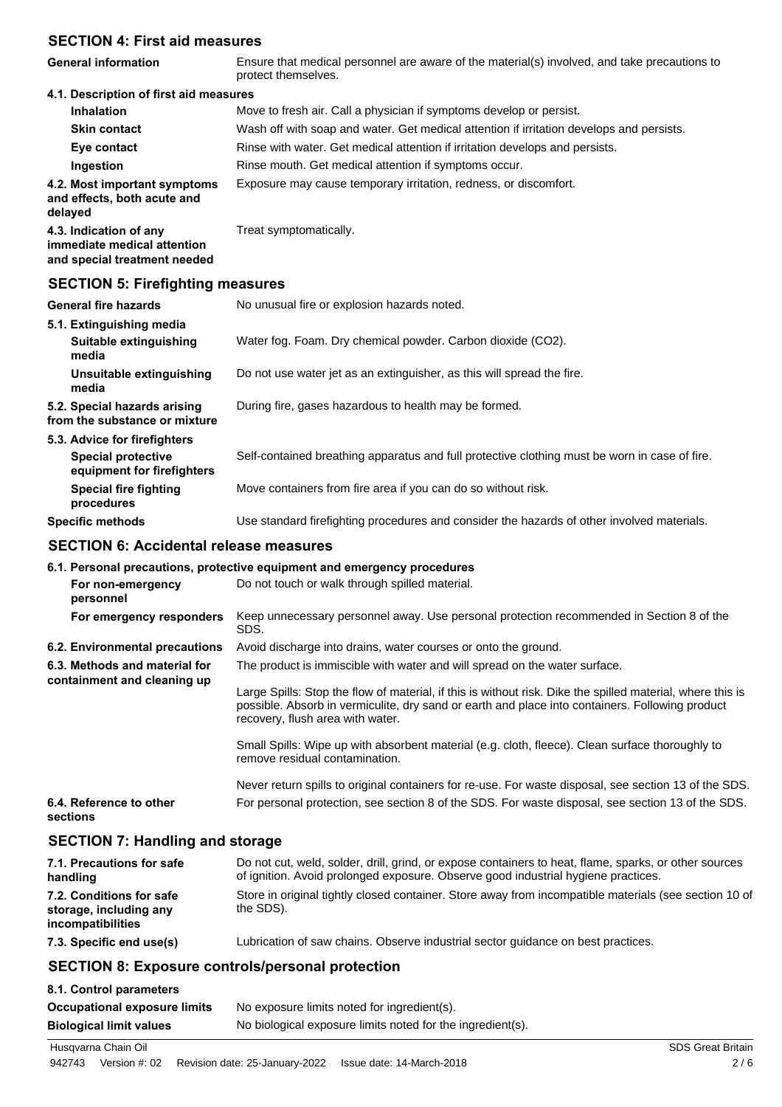### **SECTION 4: First aid measures**

| <b>General information</b>             | Ensure that medical personnel are aware of the material(s) involved, and take precautions to<br>protect themselves. |
|----------------------------------------|---------------------------------------------------------------------------------------------------------------------|
| 4.1. Description of first aid measures |                                                                                                                     |
|                                        | Maria ta farake ata Oall a akinatatan Mariamatania dari karena anaratat                                             |

| <b>Inhalation</b>                                                      |  | Move to fresh air. Call a physician if symptoms develop or persist.                      |  |
|------------------------------------------------------------------------|--|------------------------------------------------------------------------------------------|--|
| <b>Skin contact</b>                                                    |  | Wash off with soap and water. Get medical attention if irritation develops and persists. |  |
| Eye contact                                                            |  | Rinse with water. Get medical attention if irritation develops and persists.             |  |
| Ingestion                                                              |  | Rinse mouth. Get medical attention if symptoms occur.                                    |  |
| 4.2. Most important symptoms<br>and effects, both acute and<br>delayed |  | Exposure may cause temporary irritation, redness, or discomfort.                         |  |
| 4.3. Indication of any                                                 |  | Treat symptomatically.                                                                   |  |

**immediate medical attention and special treatment needed**

## **SECTION 5: Firefighting measures**

| <b>General fire hazards</b>                                   | No unusual fire or explosion hazards noted.                                                   |
|---------------------------------------------------------------|-----------------------------------------------------------------------------------------------|
| 5.1. Extinguishing media<br>Suitable extinguishing<br>media   | Water fog. Foam. Dry chemical powder. Carbon dioxide (CO2).                                   |
| Unsuitable extinguishing<br>media                             | Do not use water jet as an extinguisher, as this will spread the fire.                        |
| 5.2. Special hazards arising<br>from the substance or mixture | During fire, gases hazardous to health may be formed.                                         |
| 5.3. Advice for firefighters                                  |                                                                                               |
| <b>Special protective</b><br>equipment for firefighters       | Self-contained breathing apparatus and full protective clothing must be worn in case of fire. |
| <b>Special fire fighting</b><br>procedures                    | Move containers from fire area if you can do so without risk.                                 |
| <b>Specific methods</b>                                       | Use standard firefighting procedures and consider the hazards of other involved materials.    |

## **SECTION 6: Accidental release measures**

### **6.1. Personal precautions, protective equipment and emergency procedures For non-emergency** Do not touch or walk through spilled material. **personnel** Keep unnecessary personnel away. Use personal protection recommended in Section 8 of the SDS. **For emergency responders 6.2. Environmental precautions** Avoid discharge into drains, water courses or onto the ground. The product is immiscible with water and will spread on the water surface. Large Spills: Stop the flow of material, if this is without risk. Dike the spilled material, where this is possible. Absorb in vermiculite, dry sand or earth and place into containers. Following product recovery, flush area with water. Small Spills: Wipe up with absorbent material (e.g. cloth, fleece). Clean surface thoroughly to remove residual contamination. Never return spills to original containers for re-use. For waste disposal, see section 13 of the SDS. **6.3. Methods and material for containment and cleaning up 6.4. Reference to other** For personal protection, see section 8 of the SDS. For waste disposal, see section 13 of the SDS.

**sections**

## **SECTION 7: Handling and storage**

| 7.1. Precautions for safe<br>handling                                   | Do not cut, weld, solder, drill, grind, or expose containers to heat, flame, sparks, or other sources<br>of ignition. Avoid prolonged exposure. Observe good industrial hygiene practices. |
|-------------------------------------------------------------------------|--------------------------------------------------------------------------------------------------------------------------------------------------------------------------------------------|
| 7.2. Conditions for safe<br>storage, including any<br>incompatibilities | Store in original tightly closed container. Store away from incompatible materials (see section 10 of<br>the SDS).                                                                         |
| 7.3. Specific end use(s)                                                | Lubrication of saw chains. Observe industrial sector quidance on best practices.                                                                                                           |

## **SECTION 8: Exposure controls/personal protection**

| 8.1. Control parameters        |                                                            |
|--------------------------------|------------------------------------------------------------|
| Occupational exposure limits   | No exposure limits noted for ingredient(s).                |
| <b>Biological limit values</b> | No biological exposure limits noted for the ingredient(s). |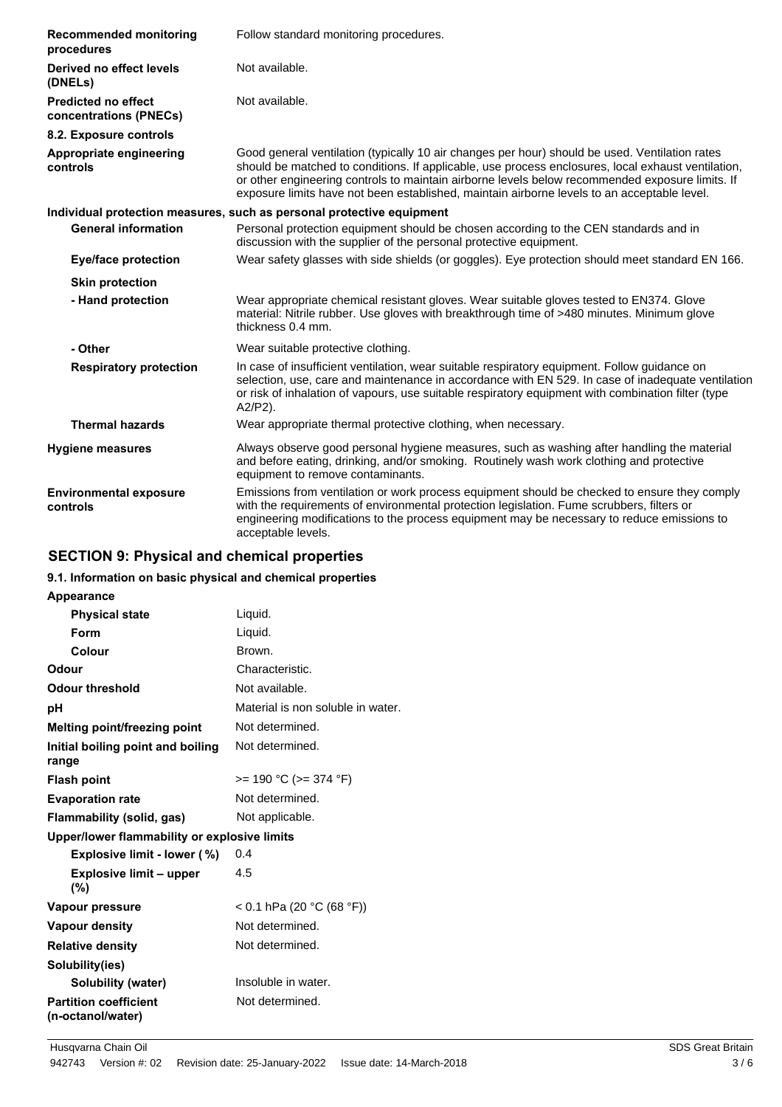| <b>Recommended monitoring</b><br>procedures          | Follow standard monitoring procedures.                                                                                                                                                                                                                                                                                                                                                                 |
|------------------------------------------------------|--------------------------------------------------------------------------------------------------------------------------------------------------------------------------------------------------------------------------------------------------------------------------------------------------------------------------------------------------------------------------------------------------------|
| Derived no effect levels<br>(DNELs)                  | Not available.                                                                                                                                                                                                                                                                                                                                                                                         |
| <b>Predicted no effect</b><br>concentrations (PNECs) | Not available.                                                                                                                                                                                                                                                                                                                                                                                         |
| 8.2. Exposure controls                               |                                                                                                                                                                                                                                                                                                                                                                                                        |
| Appropriate engineering<br>controls                  | Good general ventilation (typically 10 air changes per hour) should be used. Ventilation rates<br>should be matched to conditions. If applicable, use process enclosures, local exhaust ventilation,<br>or other engineering controls to maintain airborne levels below recommended exposure limits. If<br>exposure limits have not been established, maintain airborne levels to an acceptable level. |
|                                                      | Individual protection measures, such as personal protective equipment                                                                                                                                                                                                                                                                                                                                  |
| <b>General information</b>                           | Personal protection equipment should be chosen according to the CEN standards and in<br>discussion with the supplier of the personal protective equipment.                                                                                                                                                                                                                                             |
| <b>Eye/face protection</b>                           | Wear safety glasses with side shields (or goggles). Eye protection should meet standard EN 166.                                                                                                                                                                                                                                                                                                        |
| <b>Skin protection</b>                               |                                                                                                                                                                                                                                                                                                                                                                                                        |
| - Hand protection                                    | Wear appropriate chemical resistant gloves. Wear suitable gloves tested to EN374. Glove<br>material: Nitrile rubber. Use gloves with breakthrough time of >480 minutes. Minimum glove<br>thickness 0.4 mm.                                                                                                                                                                                             |
| - Other                                              | Wear suitable protective clothing.                                                                                                                                                                                                                                                                                                                                                                     |
| <b>Respiratory protection</b>                        | In case of insufficient ventilation, wear suitable respiratory equipment. Follow guidance on<br>selection, use, care and maintenance in accordance with EN 529. In case of inadequate ventilation<br>or risk of inhalation of vapours, use suitable respiratory equipment with combination filter (type<br>$A2/P2$ ).                                                                                  |
| <b>Thermal hazards</b>                               | Wear appropriate thermal protective clothing, when necessary.                                                                                                                                                                                                                                                                                                                                          |
| <b>Hygiene measures</b>                              | Always observe good personal hygiene measures, such as washing after handling the material<br>and before eating, drinking, and/or smoking. Routinely wash work clothing and protective<br>equipment to remove contaminants.                                                                                                                                                                            |
| <b>Environmental exposure</b><br>controls            | Emissions from ventilation or work process equipment should be checked to ensure they comply<br>with the requirements of environmental protection legislation. Fume scrubbers, filters or<br>engineering modifications to the process equipment may be necessary to reduce emissions to<br>acceptable levels.                                                                                          |

## **SECTION 9: Physical and chemical properties**

## **9.1. Information on basic physical and chemical properties**

| <b>Appearance</b>                                 |                                   |
|---------------------------------------------------|-----------------------------------|
| <b>Physical state</b>                             | Liquid.                           |
| Form                                              | Liquid.                           |
| Colour                                            | Brown.                            |
| Odour                                             | Characteristic.                   |
| <b>Odour threshold</b>                            | Not available.                    |
| рH                                                | Material is non soluble in water. |
| Melting point/freezing point                      | Not determined.                   |
| Initial boiling point and boiling<br>range        | Not determined.                   |
| <b>Flash point</b>                                | $>= 190 °C (= 374 °F)$            |
| <b>Evaporation rate</b>                           | Not determined.                   |
| Flammability (solid, gas)                         | Not applicable.                   |
| Upper/lower flammability or explosive limits      |                                   |
| Explosive limit - lower (%)                       | 0.4                               |
| <b>Explosive limit – upper</b><br>$(\% )$         | 4.5                               |
| Vapour pressure                                   | < 0.1 hPa (20 °C (68 °F))         |
| Vapour density                                    | Not determined.                   |
| <b>Relative density</b>                           | Not determined.                   |
| Solubility(ies)                                   |                                   |
| Solubility (water)                                | Insoluble in water.               |
| <b>Partition coefficient</b><br>(n-octanol/water) | Not determined.                   |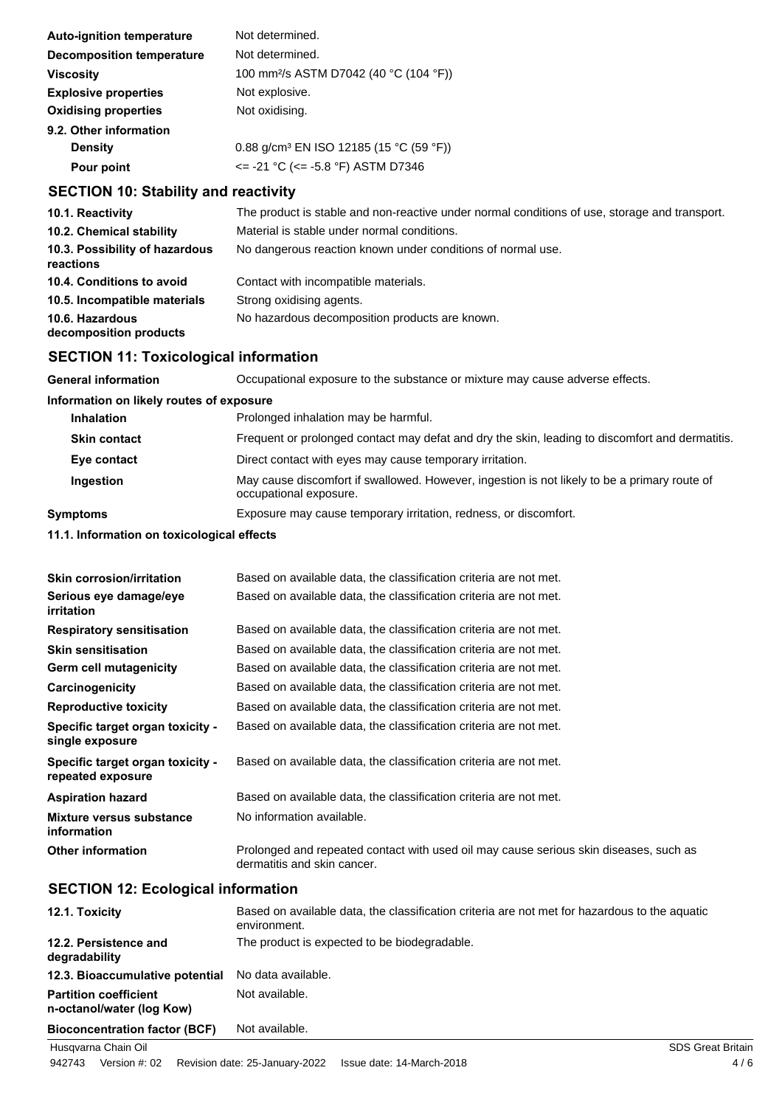| <b>Auto-ignition temperature</b>            | Not determined.                                                                               |
|---------------------------------------------|-----------------------------------------------------------------------------------------------|
| <b>Decomposition temperature</b>            | Not determined.                                                                               |
| <b>Viscosity</b>                            | 100 mm <sup>2</sup> /s ASTM D7042 (40 °C (104 °F))                                            |
| <b>Explosive properties</b>                 | Not explosive.                                                                                |
| <b>Oxidising properties</b>                 | Not oxidising.                                                                                |
| 9.2. Other information                      |                                                                                               |
| <b>Density</b>                              | 0.88 g/cm <sup>3</sup> EN ISO 12185 (15 °C (59 °F))                                           |
| Pour point                                  | $\epsilon$ = -21 °C ( $\epsilon$ = -5.8 °F) ASTM D7346                                        |
| <b>SECTION 10: Stability and reactivity</b> |                                                                                               |
| 10.1. Reactivity                            | The product is stable and non-reactive under normal conditions of use, storage and transport. |
| 10.2. Chemical stability                    | Material is stable under normal conditions.                                                   |

| $19.2.$ UIICHIICAI SLADIIILY                | יטווטווטווטט וואוווטו וטאווט טועגעט טו ואווטווטי            |
|---------------------------------------------|-------------------------------------------------------------|
| 10.3. Possibility of hazardous<br>reactions | No dangerous reaction known under conditions of normal use. |
| 10.4. Conditions to avoid                   | Contact with incompatible materials.                        |
| 10.5. Incompatible materials                | Strong oxidising agents.                                    |
| 10.6. Hazardous<br>decomposition products   | No hazardous decomposition products are known.              |

## **SECTION 11: Toxicological information**

| <b>General information</b>               | Occupational exposure to the substance or mixture may cause adverse effects.                                           |  |
|------------------------------------------|------------------------------------------------------------------------------------------------------------------------|--|
| Information on likely routes of exposure |                                                                                                                        |  |
| <b>Inhalation</b>                        | Prolonged inhalation may be harmful.                                                                                   |  |
| <b>Skin contact</b>                      | Frequent or prolonged contact may defat and dry the skin, leading to discomfort and dermatitis.                        |  |
| Eye contact                              | Direct contact with eyes may cause temporary irritation.                                                               |  |
| Ingestion                                | May cause discomfort if swallowed. However, ingestion is not likely to be a primary route of<br>occupational exposure. |  |
| Symptoms                                 | Exposure may cause temporary irritation, redness, or discomfort.                                                       |  |

**11.1. Information on toxicological effects**

| <b>Skin corrosion/irritation</b>                      | Based on available data, the classification criteria are not met.                                                    |
|-------------------------------------------------------|----------------------------------------------------------------------------------------------------------------------|
| Serious eye damage/eye<br><b>irritation</b>           | Based on available data, the classification criteria are not met.                                                    |
| <b>Respiratory sensitisation</b>                      | Based on available data, the classification criteria are not met.                                                    |
| <b>Skin sensitisation</b>                             | Based on available data, the classification criteria are not met.                                                    |
| Germ cell mutagenicity                                | Based on available data, the classification criteria are not met.                                                    |
| Carcinogenicity                                       | Based on available data, the classification criteria are not met.                                                    |
| <b>Reproductive toxicity</b>                          | Based on available data, the classification criteria are not met.                                                    |
| Specific target organ toxicity -<br>single exposure   | Based on available data, the classification criteria are not met.                                                    |
| Specific target organ toxicity -<br>repeated exposure | Based on available data, the classification criteria are not met.                                                    |
| <b>Aspiration hazard</b>                              | Based on available data, the classification criteria are not met.                                                    |
| Mixture versus substance<br>information               | No information available.                                                                                            |
| <b>Other information</b>                              | Prolonged and repeated contact with used oil may cause serious skin diseases, such as<br>dermatitis and skin cancer. |

## **SECTION 12: Ecological information**

| 12.1. Toxicity                                            | Based on available data, the classification criteria are not met for hazardous to the aquatic<br>environment. |
|-----------------------------------------------------------|---------------------------------------------------------------------------------------------------------------|
| 12.2. Persistence and<br>degradability                    | The product is expected to be biodegradable.                                                                  |
| 12.3. Bioaccumulative potential                           | No data available.                                                                                            |
| <b>Partition coefficient</b><br>n-octanol/water (log Kow) | Not available.                                                                                                |
| <b>Bioconcentration factor (BCF)</b>                      | Not available.                                                                                                |
| Husqvarna Chain Oil                                       | <b>SDS Great Britain</b>                                                                                      |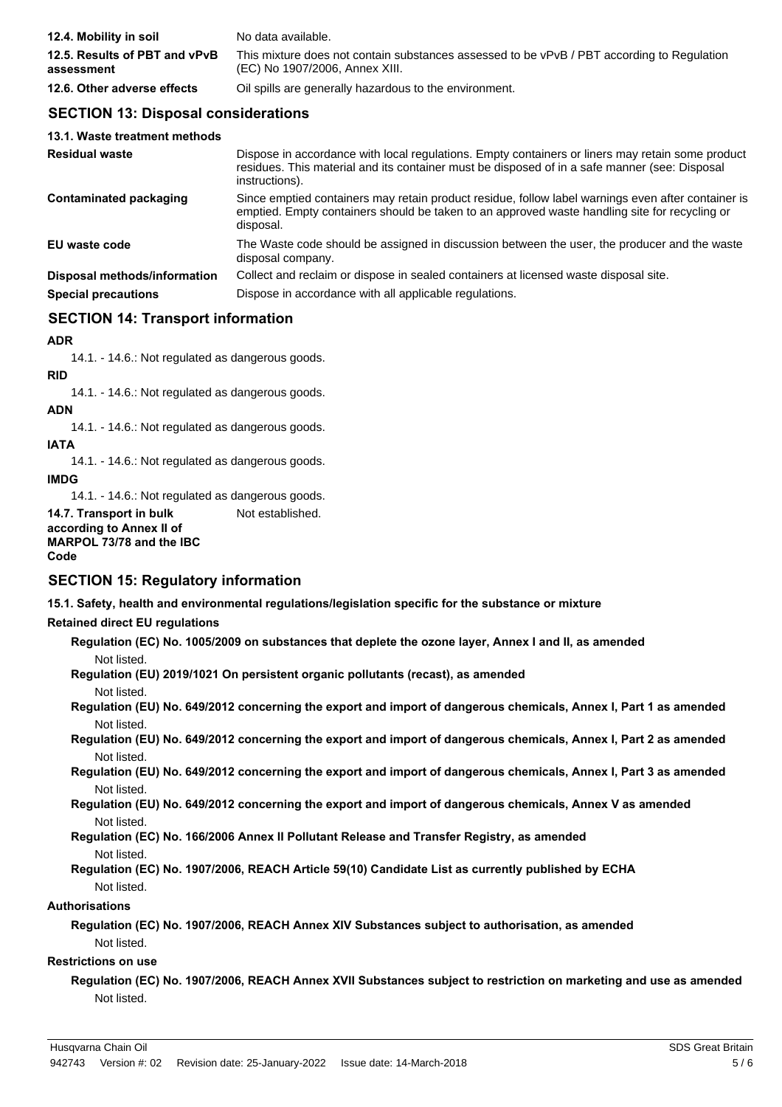| 12.4. Mobility in soil                      | No data available.                                                                                                           |
|---------------------------------------------|------------------------------------------------------------------------------------------------------------------------------|
| 12.5. Results of PBT and vPvB<br>assessment | This mixture does not contain substances assessed to be vPvB / PBT according to Regulation<br>(EC) No 1907/2006, Annex XIII. |
| 12.6. Other adverse effects                 | Oil spills are generally hazardous to the environment.                                                                       |

### **SECTION 13: Disposal considerations**

| 13.1. Waste treatment methods |                                                                                                                                                                                                                     |
|-------------------------------|---------------------------------------------------------------------------------------------------------------------------------------------------------------------------------------------------------------------|
| <b>Residual waste</b>         | Dispose in accordance with local regulations. Empty containers or liners may retain some product<br>residues. This material and its container must be disposed of in a safe manner (see: Disposal<br>instructions). |
| Contaminated packaging        | Since emptied containers may retain product residue, follow label warnings even after container is<br>emptied. Empty containers should be taken to an approved waste handling site for recycling or<br>disposal.    |
| EU waste code                 | The Waste code should be assigned in discussion between the user, the producer and the waste<br>disposal company.                                                                                                   |
| Disposal methods/information  | Collect and reclaim or dispose in sealed containers at licensed waste disposal site.                                                                                                                                |
| <b>Special precautions</b>    | Dispose in accordance with all applicable regulations.                                                                                                                                                              |

## **SECTION 14: Transport information**

### **ADR**

14.1. - 14.6.: Not regulated as dangerous goods.

### **RID**

14.1. - 14.6.: Not regulated as dangerous goods.

## **ADN**

14.1. - 14.6.: Not regulated as dangerous goods.

### **IATA**

14.1. - 14.6.: Not regulated as dangerous goods.

**IMDG**

14.1. - 14.6.: Not regulated as dangerous goods.

**14.7. Transport in bulk** Not established. **according to Annex II of**

```
MARPOL 73/78 and the IBC
Code
```
### **SECTION 15: Regulatory information**

**15.1. Safety, health and environmental regulations/legislation specific for the substance or mixture**

### **Retained direct EU regulations**

- **Regulation (EC) No. 1005/2009 on substances that deplete the ozone layer, Annex I and II, as amended** Not listed.
- **Regulation (EU) 2019/1021 On persistent organic pollutants (recast), as amended**
	- Not listed.
- **Regulation (EU) No. 649/2012 concerning the export and import of dangerous chemicals, Annex I, Part 1 as amended** Not listed.
- **Regulation (EU) No. 649/2012 concerning the export and import of dangerous chemicals, Annex I, Part 2 as amended** Not listed.
- **Regulation (EU) No. 649/2012 concerning the export and import of dangerous chemicals, Annex I, Part 3 as amended** Not listed.
- **Regulation (EU) No. 649/2012 concerning the export and import of dangerous chemicals, Annex V as amended** Not listed.
- **Regulation (EC) No. 166/2006 Annex II Pollutant Release and Transfer Registry, as amended** Not listed.
- **Regulation (EC) No. 1907/2006, REACH Article 59(10) Candidate List as currently published by ECHA** Not listed.

### **Authorisations**

**Regulation (EC) No. 1907/2006, REACH Annex XIV Substances subject to authorisation, as amended** Not listed.

### **Restrictions on use**

**Regulation (EC) No. 1907/2006, REACH Annex XVII Substances subject to restriction on marketing and use as amended** Not listed.